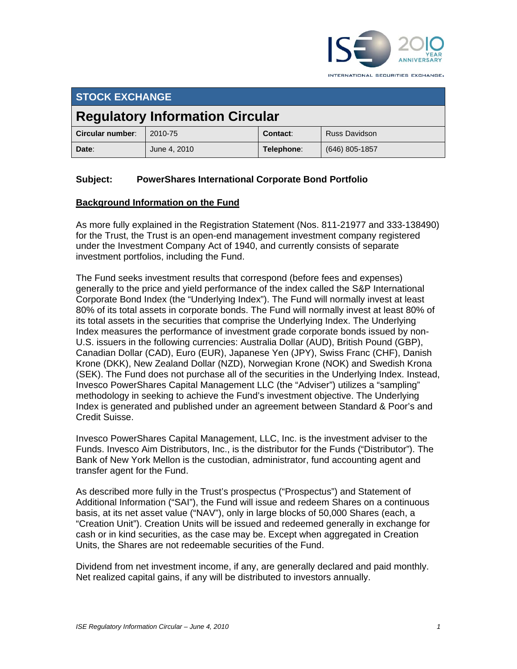

**STOCK EXCHANGE Regulatory Information Circular Circular number**: 2010-75 **Contact:** Russ Davidson **Date**:June 4, 2010 **Telephone**: (646) 805-1857

## **Subject: PowerShares International Corporate Bond Portfolio**

#### **Background Information on the Fund**

As more fully explained in the Registration Statement (Nos. 811-21977 and 333-138490) for the Trust, the Trust is an open-end management investment company registered under the Investment Company Act of 1940, and currently consists of separate investment portfolios, including the Fund.

The Fund seeks investment results that correspond (before fees and expenses) generally to the price and yield performance of the index called the S&P International Corporate Bond Index (the "Underlying Index"). The Fund will normally invest at least 80% of its total assets in corporate bonds. The Fund will normally invest at least 80% of its total assets in the securities that comprise the Underlying Index. The Underlying Index measures the performance of investment grade corporate bonds issued by non-U.S. issuers in the following currencies: Australia Dollar (AUD), British Pound (GBP), Canadian Dollar (CAD), Euro (EUR), Japanese Yen (JPY), Swiss Franc (CHF), Danish Krone (DKK), New Zealand Dollar (NZD), Norwegian Krone (NOK) and Swedish Krona (SEK). The Fund does not purchase all of the securities in the Underlying Index. Instead, Invesco PowerShares Capital Management LLC (the "Adviser") utilizes a "sampling" methodology in seeking to achieve the Fund's investment objective. The Underlying Index is generated and published under an agreement between Standard & Poor's and Credit Suisse.

Invesco PowerShares Capital Management, LLC, Inc. is the investment adviser to the Funds. Invesco Aim Distributors, Inc., is the distributor for the Funds ("Distributor"). The Bank of New York Mellon is the custodian, administrator, fund accounting agent and transfer agent for the Fund.

As described more fully in the Trust's prospectus ("Prospectus") and Statement of Additional Information ("SAI"), the Fund will issue and redeem Shares on a continuous basis, at its net asset value ("NAV"), only in large blocks of 50,000 Shares (each, a "Creation Unit"). Creation Units will be issued and redeemed generally in exchange for cash or in kind securities, as the case may be. Except when aggregated in Creation Units, the Shares are not redeemable securities of the Fund.

Dividend from net investment income, if any, are generally declared and paid monthly. Net realized capital gains, if any will be distributed to investors annually.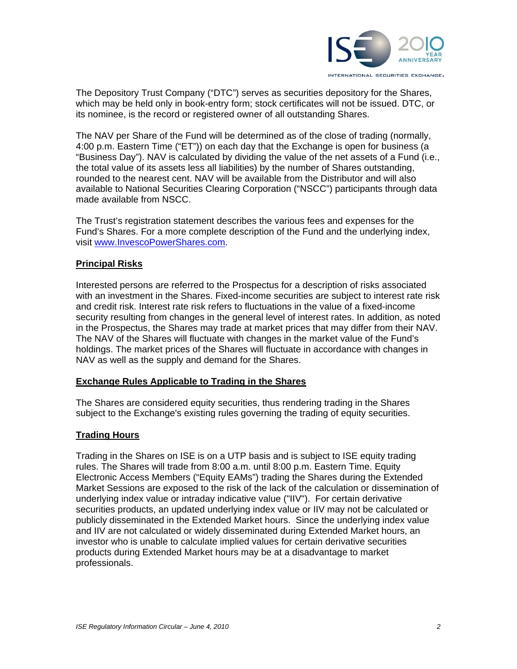

The Depository Trust Company ("DTC") serves as securities depository for the Shares, which may be held only in book-entry form; stock certificates will not be issued. DTC, or its nominee, is the record or registered owner of all outstanding Shares.

The NAV per Share of the Fund will be determined as of the close of trading (normally, 4:00 p.m. Eastern Time ("ET")) on each day that the Exchange is open for business (a "Business Day"). NAV is calculated by dividing the value of the net assets of a Fund (i.e., the total value of its assets less all liabilities) by the number of Shares outstanding, rounded to the nearest cent. NAV will be available from the Distributor and will also available to National Securities Clearing Corporation ("NSCC") participants through data made available from NSCC.

The Trust's registration statement describes the various fees and expenses for the Fund's Shares. For a more complete description of the Fund and the underlying index, visit www.InvescoPowerShares.com.

## **Principal Risks**

Interested persons are referred to the Prospectus for a description of risks associated with an investment in the Shares. Fixed-income securities are subject to interest rate risk and credit risk. Interest rate risk refers to fluctuations in the value of a fixed-income security resulting from changes in the general level of interest rates. In addition, as noted in the Prospectus, the Shares may trade at market prices that may differ from their NAV. The NAV of the Shares will fluctuate with changes in the market value of the Fund's holdings. The market prices of the Shares will fluctuate in accordance with changes in NAV as well as the supply and demand for the Shares.

#### **Exchange Rules Applicable to Trading in the Shares**

The Shares are considered equity securities, thus rendering trading in the Shares subject to the Exchange's existing rules governing the trading of equity securities.

## **Trading Hours**

Trading in the Shares on ISE is on a UTP basis and is subject to ISE equity trading rules. The Shares will trade from 8:00 a.m. until 8:00 p.m. Eastern Time. Equity Electronic Access Members ("Equity EAMs") trading the Shares during the Extended Market Sessions are exposed to the risk of the lack of the calculation or dissemination of underlying index value or intraday indicative value ("IIV"). For certain derivative securities products, an updated underlying index value or IIV may not be calculated or publicly disseminated in the Extended Market hours. Since the underlying index value and IIV are not calculated or widely disseminated during Extended Market hours, an investor who is unable to calculate implied values for certain derivative securities products during Extended Market hours may be at a disadvantage to market professionals.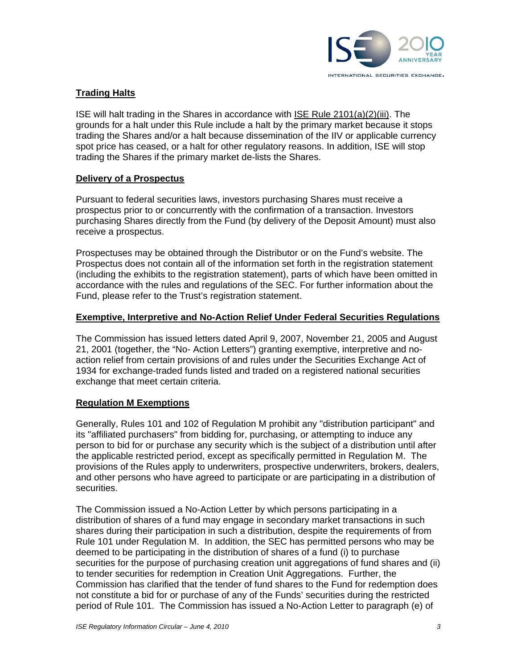

# **Trading Halts**

ISE will halt trading in the Shares in accordance with ISE Rule 2101(a)(2)(iii). The grounds for a halt under this Rule include a halt by the primary market because it stops trading the Shares and/or a halt because dissemination of the IIV or applicable currency spot price has ceased, or a halt for other regulatory reasons. In addition, ISE will stop trading the Shares if the primary market de-lists the Shares.

## **Delivery of a Prospectus**

Pursuant to federal securities laws, investors purchasing Shares must receive a prospectus prior to or concurrently with the confirmation of a transaction. Investors purchasing Shares directly from the Fund (by delivery of the Deposit Amount) must also receive a prospectus.

Prospectuses may be obtained through the Distributor or on the Fund's website. The Prospectus does not contain all of the information set forth in the registration statement (including the exhibits to the registration statement), parts of which have been omitted in accordance with the rules and regulations of the SEC. For further information about the Fund, please refer to the Trust's registration statement.

#### **Exemptive, Interpretive and No-Action Relief Under Federal Securities Regulations**

The Commission has issued letters dated April 9, 2007, November 21, 2005 and August 21, 2001 (together, the "No- Action Letters") granting exemptive, interpretive and noaction relief from certain provisions of and rules under the Securities Exchange Act of 1934 for exchange-traded funds listed and traded on a registered national securities exchange that meet certain criteria.

## **Regulation M Exemptions**

Generally, Rules 101 and 102 of Regulation M prohibit any "distribution participant" and its "affiliated purchasers" from bidding for, purchasing, or attempting to induce any person to bid for or purchase any security which is the subject of a distribution until after the applicable restricted period, except as specifically permitted in Regulation M. The provisions of the Rules apply to underwriters, prospective underwriters, brokers, dealers, and other persons who have agreed to participate or are participating in a distribution of securities.

The Commission issued a No-Action Letter by which persons participating in a distribution of shares of a fund may engage in secondary market transactions in such shares during their participation in such a distribution, despite the requirements of from Rule 101 under Regulation M. In addition, the SEC has permitted persons who may be deemed to be participating in the distribution of shares of a fund (i) to purchase securities for the purpose of purchasing creation unit aggregations of fund shares and (ii) to tender securities for redemption in Creation Unit Aggregations. Further, the Commission has clarified that the tender of fund shares to the Fund for redemption does not constitute a bid for or purchase of any of the Funds' securities during the restricted period of Rule 101. The Commission has issued a No-Action Letter to paragraph (e) of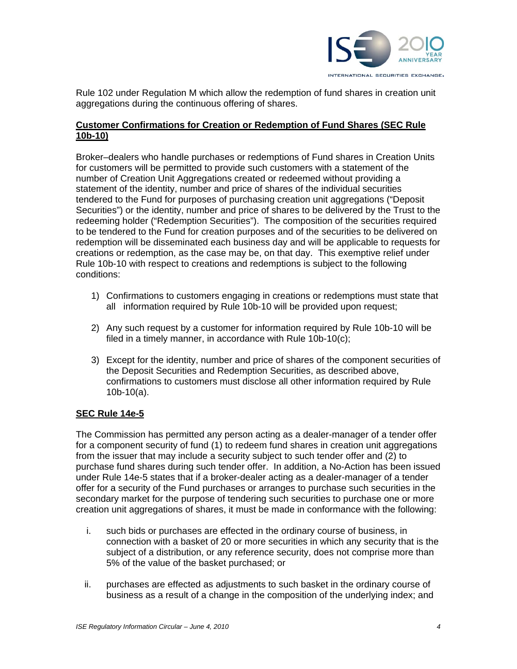

Rule 102 under Regulation M which allow the redemption of fund shares in creation unit aggregations during the continuous offering of shares.

# **Customer Confirmations for Creation or Redemption of Fund Shares (SEC Rule 10b-10)**

Broker–dealers who handle purchases or redemptions of Fund shares in Creation Units for customers will be permitted to provide such customers with a statement of the number of Creation Unit Aggregations created or redeemed without providing a statement of the identity, number and price of shares of the individual securities tendered to the Fund for purposes of purchasing creation unit aggregations ("Deposit Securities") or the identity, number and price of shares to be delivered by the Trust to the redeeming holder ("Redemption Securities"). The composition of the securities required to be tendered to the Fund for creation purposes and of the securities to be delivered on redemption will be disseminated each business day and will be applicable to requests for creations or redemption, as the case may be, on that day. This exemptive relief under Rule 10b-10 with respect to creations and redemptions is subject to the following conditions:

- 1) Confirmations to customers engaging in creations or redemptions must state that all information required by Rule 10b-10 will be provided upon request;
- 2) Any such request by a customer for information required by Rule 10b-10 will be filed in a timely manner, in accordance with Rule 10b-10(c);
- 3) Except for the identity, number and price of shares of the component securities of the Deposit Securities and Redemption Securities, as described above, confirmations to customers must disclose all other information required by Rule 10b-10(a).

## **SEC Rule 14e-5**

The Commission has permitted any person acting as a dealer-manager of a tender offer for a component security of fund (1) to redeem fund shares in creation unit aggregations from the issuer that may include a security subject to such tender offer and (2) to purchase fund shares during such tender offer. In addition, a No-Action has been issued under Rule 14e-5 states that if a broker-dealer acting as a dealer-manager of a tender offer for a security of the Fund purchases or arranges to purchase such securities in the secondary market for the purpose of tendering such securities to purchase one or more creation unit aggregations of shares, it must be made in conformance with the following:

- i. such bids or purchases are effected in the ordinary course of business, in connection with a basket of 20 or more securities in which any security that is the subject of a distribution, or any reference security, does not comprise more than 5% of the value of the basket purchased; or
- ii. purchases are effected as adjustments to such basket in the ordinary course of business as a result of a change in the composition of the underlying index; and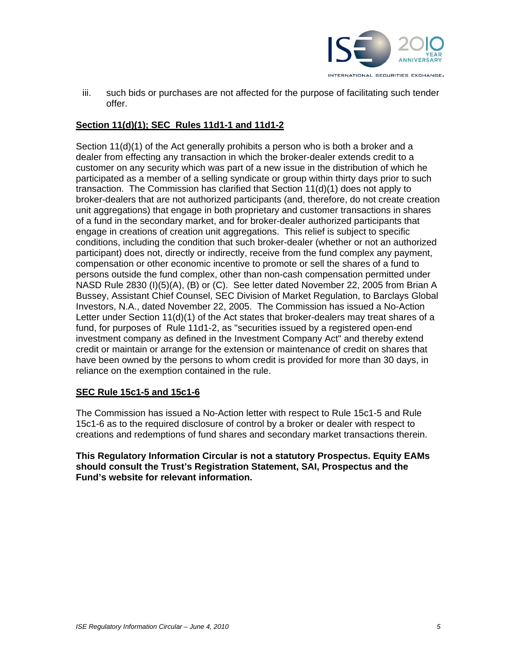

iii. such bids or purchases are not affected for the purpose of facilitating such tender offer.

# **Section 11(d)(1); SEC Rules 11d1-1 and 11d1-2**

Section 11(d)(1) of the Act generally prohibits a person who is both a broker and a dealer from effecting any transaction in which the broker-dealer extends credit to a customer on any security which was part of a new issue in the distribution of which he participated as a member of a selling syndicate or group within thirty days prior to such transaction. The Commission has clarified that Section 11(d)(1) does not apply to broker-dealers that are not authorized participants (and, therefore, do not create creation unit aggregations) that engage in both proprietary and customer transactions in shares of a fund in the secondary market, and for broker-dealer authorized participants that engage in creations of creation unit aggregations. This relief is subject to specific conditions, including the condition that such broker-dealer (whether or not an authorized participant) does not, directly or indirectly, receive from the fund complex any payment, compensation or other economic incentive to promote or sell the shares of a fund to persons outside the fund complex, other than non-cash compensation permitted under NASD Rule 2830 (I)(5)(A), (B) or (C). See letter dated November 22, 2005 from Brian A Bussey, Assistant Chief Counsel, SEC Division of Market Regulation, to Barclays Global Investors, N.A., dated November 22, 2005. The Commission has issued a No-Action Letter under Section 11(d)(1) of the Act states that broker-dealers may treat shares of a fund, for purposes of Rule 11d1-2, as "securities issued by a registered open-end investment company as defined in the Investment Company Act" and thereby extend credit or maintain or arrange for the extension or maintenance of credit on shares that have been owned by the persons to whom credit is provided for more than 30 days, in reliance on the exemption contained in the rule.

## **SEC Rule 15c1-5 and 15c1-6**

The Commission has issued a No-Action letter with respect to Rule 15c1-5 and Rule 15c1-6 as to the required disclosure of control by a broker or dealer with respect to creations and redemptions of fund shares and secondary market transactions therein.

**This Regulatory Information Circular is not a statutory Prospectus. Equity EAMs should consult the Trust's Registration Statement, SAI, Prospectus and the Fund's website for relevant information.**